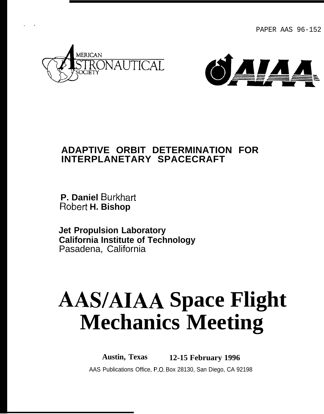PAPER AAS 96-152



 $\frac{1}{2}$ 



## **ADAPTIVE ORBIT DETERMINATION FOR INTERPLANETARY SPACECRAFT**

**P. Daniel Burkhart Robert H. Bishop** 

**Jet Propulsion Laboratory California Institute of Technology** Pasadena, California

# **AASIAIAA Space Flight Mechanics Meeting**

**Austin, Texas 12-15 February 1996**

AAS Publications Office, P.O. Box 28130, San Diego, CA 92198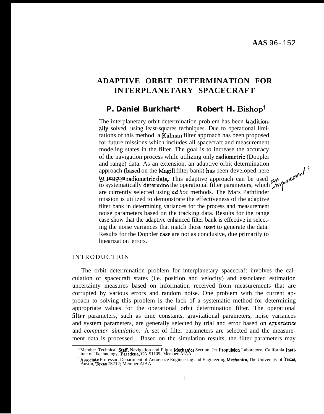$\mathbb{R}^d$ 

## **ADAPTIVE ORBIT DETERMINATION FOR INTERPLANETARY SPACECRAFT**

### **P. Daniel Burkhart\* Robert H. Bishopt**

The interplanetary orbit determination problem has been traditionally solved, using least-squares techniques. Due to operational limitations of this method, a Kalman filter approach has been proposed for future missions which includes all spacecraft and measurement modeling states in the filter. The goal is to increase the accuracy of the navigation process while utilizing only radiometric (Doppler and range) data. As an extension, an adaptive orbit determination approach (based on the Magill filter bank) has been developed here  $\mathcal{M}$ to process radiometric data. This adaptive approach can be used  $\alpha^N$  ,  $\alpha^{(\ell)}$ to systematically determine the operational filter parameters, which  $\alpha_{\mu}$ <sup>n</sup> are currently selected using  $ad hoc$  methods. The Mars Pathfinder mission is utilized to demonstrate the effectiveness of the adaptive filter bank in determining variances for the process and measurement noise parameters based on the tracking data. Results for the range case show that the adaptive enhanced filter bank is effective in selecting the noise variances that match those used to generate the data. Results for the Doppler case are not as conclusive, due primarily to linearization errors.

#### INTRODUCTION

The orbit determination problem for interplanetary spacecraft involves the calculation of spacecraft states (i.e. position and velocity) and associated estimation uncertainty measures based on information received from measurements that are corrupted by various errors and random noise. One problem with the current approach to solving this problem is the lack of a systematic method for determining appropriate values for the operational orbit determination filter. The operational filter parameters, such as time constants, gravitational parameters, noise variances and system parameters, are generally selected by trial and error based on *experience* and *computer simulation.* A set of filter parameters are selected and the measurement data is processed\_. Based on the simulation results, the filter parameters may

<sup>&</sup>quot;Member Technical Staff, Navigation and Flight Mechanics Section, Jet Propulsion Laboratory, California Institute of 'Ike.hnology, Pasadena, CA 91109; Member AIAA.

<sup>&</sup>lt;sup>†</sup> Associate Professor, Department of Aeroepace Engineering and Engineering Mechanics, The University of Texas, Austin, Texas 7S712; Member AlAA.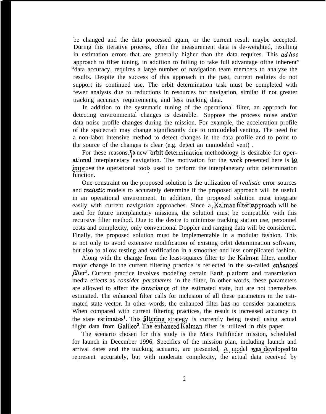be changed and the data processed again, or the current result maybe accepted. During this iterative process, often the measurement data is de-weighted, resulting in estimation errors that are generally higher than the data requires. This *ad hoc* approach to filter tuning, in addition to failing to take full advantage ofthe inherent" "data accuracy, requires a large number of navigation team members to analyze the results. Despite the success of this approach in the past, current realities do not support its continued use. The orbit determination task must be completed with fewer analysts due to reductions in resources for navigation, similar if not greater tracking accuracy requirements, and less tracking data.

In addition to the systematic tuning of the operational filter, an approach for detecting environmental changes is desirable. Suppose the process noise and/or data noise profile changes during the mission. For example, the acceleration profile of the spacecraft may change significantly due to unmodeled venting. The need for a non-labor intensive method to detect changes in the data profile and to point to the source of the changes is clear (e.g. detect an unmodeled vent) .

source of the changes is clear (e.g. detect an unifidated vent).<br>For these reasons, a new orbit determination methodology is desirable for operational interplanetary navigation. The motivation for the work presented here is  $\mathfrak{tQ}$ . improve the operational tools used to perform the interplanetary orbit determination function.

One constraint on the proposed solution is the utilization of *realistic* error sources and *reuktic* models to accurately determine if the proposed approach will be useful in an operational environment. In addition, the proposed solution must integrate Letter with current interplanetary missions, the solution must be compatible with this used for future interplanetary missions, the solution must be compatible with this easily with current navigation approaches. Since a Kalman filter approach will be recursive filter method. Due to the desire to minimize tracking station use, personnel costs and complexity, only conventional Doppler and ranging data will be considered. Finally, the proposed solution must be implementable in a modular fashion. This is not only to avoid extensive modification of existing orbit determination software, but also to allow testing and verification in a smoother and less complicated fashion.

Along with the change from the least-squares filter to the Kalman filter, another major change in the current filtering practice is reflected in the so-called *enhanced filter*<sup>1</sup>. Current practice involves modeling certain Earth platform and transmission media effects as *consider parameters* in the filter, In other words, these parameters are allowed to affect the covariance of the estimated state, but are not themselves estimated. The enhanced filter calls for inclusion of all these parameters in the estimated state vector. In other words, the enhanced filter has no consider parameters. When compared with current filtering practices, the result is increased accuracy in the state estimates<sup>1</sup>. This filtering strategy is currently being tested using actual flight data from Galileo<sup>2</sup>. The enhanced Kalman filter is utilized in this paper.

The scenario chosen for this study is the Mars Pathfinder mission, scheduled for launch in December 1996, Specifics of the mission plan, including launch and arrival dates and the tracking scenario, are presented, A model was developed to represent accurately, but with moderate complexity, the actual data received by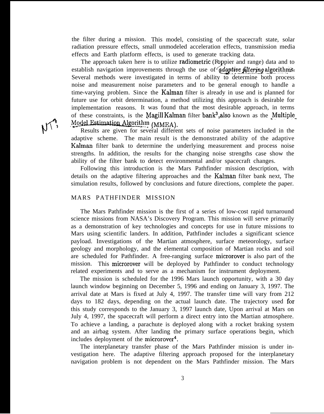the filter during a mission. This model, consisting of the spacecraft state, solar radiation pressure effects, small unmodeled acceleration effects, transmission media effects and Earth platform effects, is used to generate tracking data.

The approach taken here is to utilize **radiometric** (Poppier and range) data and to The approach taken here is to utilize radiometric (roppler and range) data and to<br>establish navigation improvements through the use of *daptive filtering* algorithms Several methods were investigated in terms of ability to determine both process noise and measurement noise parameters and to be general enough to handle a time-varying problem. Since the Kalman filter is already in use and is planned for future use for orbit determination, a method utilizing this approach is desirable for implementation reasons. It was found that the most desirable approach, in terms of these constraints, is the **Magill Kalman** filter  $bank^3$ , also known as the **Multiple** Model Estimation Algorithm (MMEA).

Results are given for several different sets of noise parameters included in the adaptive scheme. The main result is the demonstrated ability of the adaptive Kalman filter bank to determine the underlying measurement and process noise strengths. In addition, the results for the changing noise strengths case show the ability of the filter bank to detect environmental and/or spacecraft changes.

Following this introduction is the Mars Pathfinder mission description, with details on the adaptive filtering approaches and the Kalman filter bank next, The simulation results, followed by conclusions and future directions, complete the paper.

#### MARS PATHFINDER MISSION

 $N^3$ 

The Mars Pathfinder mission is the first of a series of low-cost rapid turnaround science missions from NASA's Discovery Program. This mission will serve primarily as a demonstration of key technologies and concepts for use in future missions to Mars using scientific landers. In addition, Pathfinder includes a significant science payload. Investigations of the Martian atmosphere, surface meteorology, surface geology and morphology, and the elemental composition of Martian rocks and soil are scheduled for Pathfinder. A free-ranging surface microrover is also part of the mission. This microrover will be deployed by Pathfinder to conduct technology related experiments and to serve as a mechanism for instrument deployment.

The mission is scheduled for the 1996 Mars launch opportunity, with a 30 day launch window beginning on December 5, 1996 and ending on January 3, 1997. The arrival date at Mars is fixed at July 4, 1997. The transfer time will vary from 212 days to 182 days, depending on the actual launch date. The trajectory used for this study corresponds to the January 3, 1997 launch date, Upon arrival at Mars on July 4, 1997, the spacecraft will perform a direct entry into the Martian atmosphere. To achieve a landing, a parachute is deployed along with a rocket braking system and an airbag system. After landing the primary surface operations begin, which includes deployment of the microrover4.

The interplanetary transfer phase of the Mars Pathfinder mission is under investigation here. The adaptive filtering approach proposed for the interplanetary navigation problem is not dependent on the Mars Pathfinder mission. The Mars

3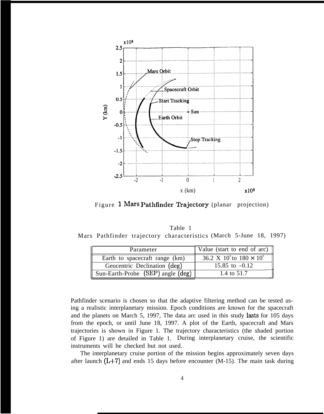

Figure 1 Mars Pathfinder Trajectory (planar projection)

Table 1 Mars Pathfinder trajectory characteristics (March 5-June 18, 1997)

| Parameter                                     | Value (start to end of arc) $\parallel$                |  |
|-----------------------------------------------|--------------------------------------------------------|--|
| Earth to spacecraft range (km)                | 36.2 X 10 <sup>o</sup> to 180 $\times$ 10 <sup>o</sup> |  |
| Geocentric Declination (deg)                  | 15.85 to $-0.12$                                       |  |
| $\parallel$ Sun-Earth-Probe (SEP) angle (deg) | 1.4 to 51.7                                            |  |

Pathfinder scenario is chosen so that the adaptive filtering method can be tested using a realistic interplanetary mission. Epoch conditions are known for the spacecraft and the planets on March 5, 1997, The data arc used in this study lasts for 105 days from the epoch, or until June 18, 1997. A plot of the Earth, spacecraft and Mars trajectories is shown in Figure 1. The trajectory characteristics (the shaded portion of Figure 1) are detailed in Table 1. During interplanetary cruise, the scientific instruments will be checked but not used.

The interplanetary cruise portion of the mission begins approximately seven days after launch  $(L+7)$  and ends 15 days before encounter (M-15). The main task during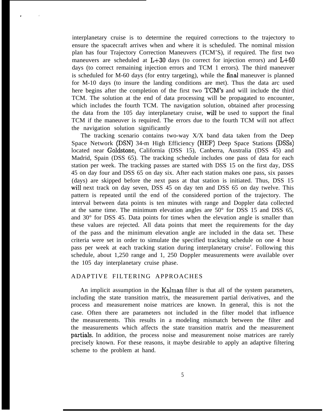interplanetary cruise is to determine the required corrections to the trajectory to ensure the spacecraft arrives when and where it is scheduled. The nominal mission plan has four Trajectory Correction Maneuvers (TCM'S), if required. The first two maneuvers are scheduled at  $L+30$  days (to correct for injection errors) and  $L+60$ days (to correct remaining injection errors and TCM 1 errors). The third maneuver is scheduled for M-60 days (for entry targeting), while the final maneuver is planned for M-10 days (to insure the landing conditions are met). Thus the data arc used here begins after the completion of the first two TCM'S and will include the third TCM. The solution at the end of data processing will be propagated to encounter, which includes the fourth TCM. The navigation solution, obtained after processing the data from the 105 day interplanetary cruise, will be used to support the final TCM if the maneuver is required. The errors due to the fourth TCM will not affect the navigation solution significantly.

The tracking scenario contains two-way X/X band data taken from the Deep Space Network (DSN) 34-m High Efficiency (HEF) Deep Space Stations (DSSS) located near Goldstone, California (DSS 15), Canberra, Australia (DSS 45) and Madrid, Spain (DSS 65). The tracking schedule includes one pass of data for each station per week. The tracking passes are started with DSS 15 on the first day, DSS 45 on day four and DSS 65 on day six. After each station makes one pass, six passes (days) are skipped before the next pass at that station is initiated. Thus, DSS 15 will next track on day seven, DSS 45 on day ten and DSS 65 on day twelve. This pattern is repeated until the end of the considered portion of the trajectory. The interval between data points is ten minutes with range and Doppler data collected at the same time. The minimum elevation angles are 50° for DSS 15 and DSS 65, and 30° for DSS 45. Data points for times when the elevation angle is smaller than these values are rejected. All data points that meet the requirements for the day of the pass and the minimum elevation angle are included in the data set. These criteria were set in order to simulate the specified tracking schedule on one 4 hour pass per week at each tracking station during interplanetary cruise<sup>4</sup>. Following this schedule, about 1,250 range and 1, 250 Doppler measurements were available over the 105 day interplanetary cruise phase.

#### ADAPTIVE FILTERING APPROACHES

An implicit assumption in the Kalman filter is that all of the system parameters, including the state transition matrix, the measurement partial derivatives, and the process and measurement noise matrices are known. In general, this is not the case. Often there are parameters not included in the filter model that influence the measurements. This results in a modeling mismatch between the filter and the measurements which affects the state transition matrix and the measurement partials. In addition, the process noise and measurement noise matrices are rarely precisely known. For these reasons, it maybe desirable to apply an adaptive filtering scheme to the problem at hand.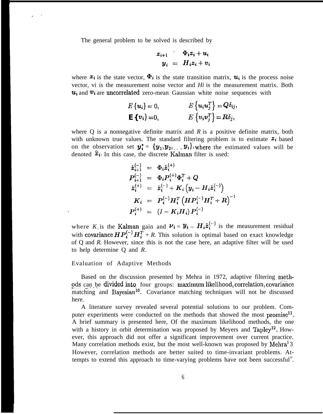The general problem to be solved is described by

. .

$$
z_{i+1} = \Phi_i z_i + u_i
$$
  

$$
y_i = H_i z_i + v_i
$$

where  $z_i$  is the state vector,  $\Phi_i$  is the state transition matrix,  $u_i$  is the process noise vector, vi is the measurement noise vector and *Hi* is the measurement matrix. Both  $\mathbf{u}_i$  and  $\mathbf{v}_i$  are uncorrelated zero-mean Gaussian white noise sequences with

$$
E\left\{u_i\right\} = 0, \qquad E\left\{u_i u_j^T\right\} = Q\delta_{ij},
$$
  

$$
\mathbf{E}\left\{v_i\right\} = 0, \qquad E\left\{v_i v_j^T\right\} = R\delta_j,
$$

where Q is a nonnegative definite matrix and *R* is a positive definite matrix, both with unknown true values. The standard filtering problem is to estimate  $z_i$  based on the observation set  $y_i^* = \{y_1, y_2, \ldots, y_i\}$ , where the estimated values will be denoted  $\hat{z}_i$ . In this case, the discrete Kalman filter is used:

$$
\hat{z}_{i+1}^{(-)} = \Phi_i \hat{z}_i^{(+)} \nP_{i+1}^{(-)} = \Phi_i P_i^{(+)} \Phi_i^T + Q \n\hat{z}_i^{(+)} = \hat{z}_i^{(-)} + K_i (y_i - H_i \hat{z}_i^{(-)}) \nK_i = P_i^{(-)} H_i^T (H P_i^{(-)} H_i^T + R)^{-1} \nP_i^{(+)} = (I - K_i H_i) P_i^{(-)}
$$

where  $K_i$  is the Kalman gain and  $\boldsymbol{\nu_i} = \boldsymbol{y_i} - \boldsymbol{H_i} \hat{\boldsymbol{z}_i^{(-)}}$  is the measurement residual with covariance  $HP_i^{(-)}H_i^{\widetilde{T}}$  + R. This solution is optimal based on exact knowledge of Q and *R.* However, since this is not the case here, an adaptive filter will be used to help determine Q and *R.*

#### Evaluation of Adaptive Methods

Based on the discussion presented by Mehra in 1972, adaptive filtering methods can be divided into four groups: maximum likelihood, correlation, covariance matching and Bayesian<sup>10</sup>. Covariance matching techniques will not be discussed here.

A literature survey revealed several potential solutions to our problem. Computer experiments were conducted on the methods that showed the most promise<sup>11</sup>. A brief summary is presented here, Of the maximum likelihood methods, the one with a history in orbit determination was proposed by Meyers and Tapley<sup>12</sup>. However, this approach did not offer a significant improvement over current practice. Many correlation methods exist, but the most well-known was proposed by Mehra<sup>1</sup>3. However, correlation methods are better suited to time-invariant problems. Attempts to extend this approach to time-varying problems have not been successful $^4$ .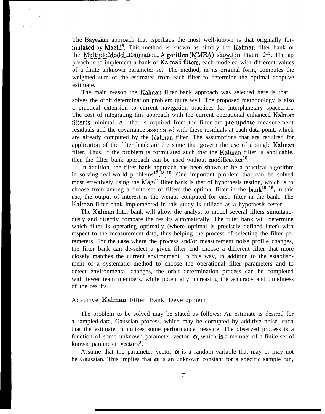The Bayesian approach that isperhaps the most well-known is that originally formulated by Magill<sup>3</sup>. This method is known as simply the Kalman filter bank or the Multiple Model Estimation Algorithm (MMEA), shown in Figure  $2^{15}$ . The ap preach is to implement a bank of Kalman filters, each modeled with different values of a finite unknown parameter set. The method, in its original form, computes the weighted sum of the estimates from each filter to determine the optimal adaptive estimate.

The main reason the Kalman filter bank approach was selected here is that it solves the orbit determination problem quite well. The proposed methodology is also a practical extension to current navigation practices for interplanetary spacecraft. The cost of integrating this approach with the current operational enhanced Kalrnan filter is minimal. All that is required from the filter are pre-update measurement residuals and the covariance associated with these residuals at each data point, which are already computed by the Kalman filter. The assumptions that are required for application of the filter bank are the same that govern the use of a single Kalman filter. Thus, if the problem is formulated such that the Kalman filter is applicable, then the filter bank approach can be used without modification<sup>16</sup>.

In addition, the filter bank approach has been shown to be a practical algorithm in solving real-world problems<sup>17</sup>,<sup>18</sup>,<sup>19</sup>. One important problem that can be solved most effectively using the Magill filter bank is that of hypothesis testing, which is to choose from among a finite set of filters the optimal filter in the bank<sup>15</sup>, <sup>16</sup>. In this use, the output of interest is the weight computed for each filter in the bank. The Kalman filter bank implemented in this study is utilized as a hypothesis tester.

The Kalman filter bank will allow the analyst to model several filters simultaneously and directly compare the results automatically. The filter bank will determine which filter is operating optimally (where optimal is precisely defined later) with respect to the measurement data, thus helping the process of selecting the filter parameters. For the case where the process and/or measurement noise profile changes, the filter bank can de-select a given filter and choose a different filter that more closely matches the current environment. In this way, in addition to the establishment of a systematic method to choose the operational filter parameters and to detect environmental changes, the orbit determination process can be completed with fewer team members, while potentially increasing the accuracy and timeliness of the results.

#### Adaptive Kalman Filter Bank Development

The problem to be solved may be stated as follows: An estimate is desired for a sampled-data, Gaussian process, which may be corrupted by additive noise, such that the estimate minimizes some performance measure. The observed process is a function of some unknown parameter vector,  $\alpha$ , which is a member of a finite set of known parameter vectors<sup>3</sup>.

Assume that the parameter vector  $\alpha$  is a random variable that may or may not be Gaussian. This implies that  $\alpha$  is an unknown constant for a specific sample run,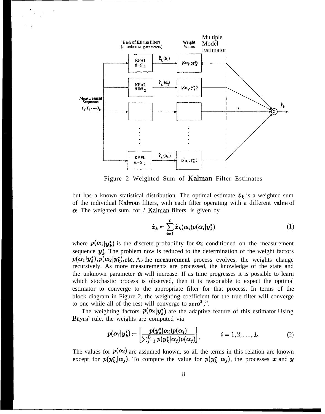

Figure 2 Weighted Sum of Kalman Filter Estimates

but has a known statistical distribution. The optimal estimate  $\hat{z}_k$  is a weighted sum of the individual Kalman filters, with each filter operating with a different value of  $\alpha$ . The weighted sum, for *L* Kalman filters, is given by

$$
\hat{\boldsymbol{z}}_k = \sum_{i=1}^L \hat{\boldsymbol{z}}_k(\boldsymbol{\alpha}_i) p(\boldsymbol{\alpha}_i | \boldsymbol{y}_k^*)
$$
 (1)

where  $p(\alpha_i | y_k^*)$  is the discrete probability for  $\alpha_i$  conditioned on the measurement sequence  $y_k^*$ . The problem now is reduced to the determination of the weight factors  $p(\alpha_1|\mathbf{y}_k^*), p(\alpha_2|\mathbf{y}_k^*),$  etc. As the measurement process evolves, the weights change recursively. As more measurements are processed, the knowledge of the state and the unknown parameter  $\alpha$  will increase. If as time progresses it is possible to learn which stochastic process is observed, then it is reasonable to expect the optimal estimator to converge to the appropriate filter for that process. In terms of the block diagram in Figure 2, the weighting coefficient for the true filter will converge to one while all of the rest will converge to  $zero^3$ ,<sup>20</sup>.

The weighting factors  $p(\alpha_i | y_k^*)$  are the adaptive feature of this estimator Using. Bayes' rule, the weights are computed via

$$
p(\alpha_i|\mathbf{y}_k^*) = \left[\frac{p(\mathbf{y}_k^*|\alpha_i)p(\alpha_i)}{\sum_{j=1}^L p(\mathbf{y}_k^*|\alpha_j)p(\alpha_j)}\right], \qquad i = 1, 2, ..., L.
$$
 (2)

The values for  $p(\alpha_i)$  are assumed known, so all the terms in this relation are known except for  $p(y^*_{k} | \alpha_j)$ . To compute the value for  $p(y^*_{k} | \alpha_j)$ , the processes x and y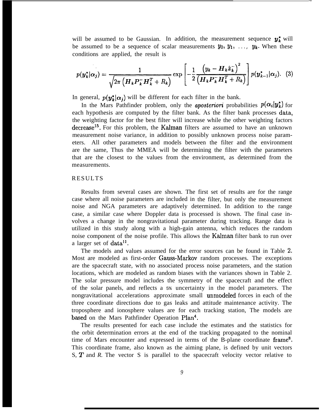will be assumed to be Gaussian. In addition, the measurement sequence  $y_k^*$  will be assumed to be a sequence of scalar measurements  $y_0, y_1, \ldots, y_k$ . When these conditions are applied, the result is

$$
p(\boldsymbol{y}_k^*|\boldsymbol{\alpha}_j) = \frac{1}{\sqrt{2\pi \left(\boldsymbol{H}_k \boldsymbol{P}_k^{\top} \boldsymbol{H}_k^T + \boldsymbol{R}_k\right)}} \exp\left[-\frac{1}{2} \frac{\left(y_k - \boldsymbol{H}_k \hat{\boldsymbol{z}}_k^{\top}\right)^2}{\left(\boldsymbol{H}_k \boldsymbol{P}_k^{\top} \boldsymbol{H}_k^T + \boldsymbol{R}_k\right)}\right] p(\boldsymbol{y}_{k-1}^*|\boldsymbol{\alpha}_j). \tag{3}
$$

In general,  $p(y^*_{\mu}|\alpha_i)$  will be different for each filter in the bank.

In the Mars Pathfinder problem, only the *aposteriori* probabilities  $p(\alpha_i|\mathbf{y}_k^*)$  for each hypothesis are computed by the filter bank. As the filter bank processes data, the weighting factor for the best filter will increase while the other weighting factors decrease<sup>15</sup>. For this problem, the Kalman filters are assumed to have an unknown measurement noise variance, in addition to possibly unknown process noise parameters. All other parameters and models between the filter and the environment are the same, Thus the MMEA will be determining the filter with the parameters that are the closest to the values from the environment, as determined from the measurements.

#### RESULTS

Results from several cases are shown. The first set of results are for the range case where all noise parameters are included in the filter, but only the measurement noise and NGA parameters are adaptively determined. In addition to the range case, a similar case where Doppler data is processed is shown. The final case involves a change in the nongravitational parameter during tracking. Range data is utilized in this study along with a high-gain antenna, which reduces the random noise component of the noise profile. This allows the Kalman filter bank to run over a larger set of  $data<sup>11</sup>$ .

The models and values assumed for the error sources can be found in Table 2. Most are modeled as first-order Gauss-Markov random processes. The exceptions are the spacecraft state, with no associated process noise parameters, and the station locations, which are modeled as random biases with the variances shown in Table 2. The solar pressure model includes the symmetry of the spacecraft and the effect of the solar panels, and reflects a 5% uncertainty in the model parameters. The nongravitational accelerations approximate small unmodeled forces in each of the three coordinate directions due to gas leaks and attitude maintenance activity. The troposphere and ionosphere values are for each tracking station, The models are based on the Mars Pathfinder Operation Plan<sup>4</sup>.

The results presented for each case include the estimates and the statistics for the orbit determination errors at the end of the tracking propagated to the nominal time of Mars encounter and expressed in terms of the B-plane coordinate frame<sup>8</sup>. This coordinate frame, also known as the aiming plane, is defined by unit vectors S, T and *R.* The vector S is parallel to the spacecraft velocity vector relative to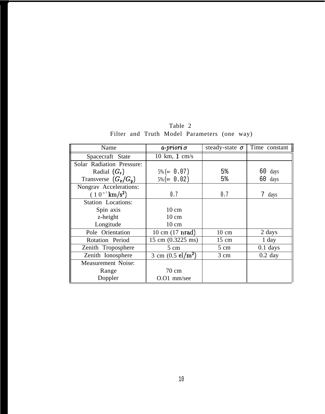| Name                       | $a$ -priori $\sigma$               | steady-state $\sigma$ | Time constant |
|----------------------------|------------------------------------|-----------------------|---------------|
| Spacecraft State           | 10 km, $1 \text{ cm/s}$            |                       |               |
| Solar Radiation Pressure:  |                                    |                       |               |
| Radial $(G_r)$             | $5\% (= 0.07)$                     | 5 <sup>°</sup>        | 60 days       |
| Transverse $(G_x/G_y)$     | $5\% (= 0.02)$                     | 5 <sup>°</sup>        | 60 days       |
| Nongrav Accelerations:     |                                    |                       |               |
| $(10^{32} \text{ km/s}^2)$ | 0.7                                | 0.7                   | 7 days        |
| <b>Station Locations:</b>  |                                    |                       |               |
| Spin axis                  | $10 \text{ cm}$                    |                       |               |
| z-height                   | $10 \text{ cm}$                    |                       |               |
| Longitude                  | $10 \text{ cm}$                    |                       |               |
| Pole Orientation           | $10 \text{ cm } (17 \text{ nrad})$ | $10 \text{ cm}$       | 2 days        |
| Rotation Period            | 15 cm (0.3225 ms)                  | $15 \text{ cm}$       | $1$ day       |
| Zenith Troposphere         | 5 cm                               | 5 cm                  | $0.1$ days    |
| Zenith Ionosphere          | 3 cm $(0.5 \text{ el/m}^2)$        | $3 \text{ cm}$        | $0.2$ day     |
| <b>Measurement Noise:</b>  |                                    |                       |               |
| Range                      | $70 \text{ cm}$                    |                       |               |
| Doppler                    | O.O1 mm/see                        |                       |               |

Table 2 Filter and Truth Model Parameters (one way)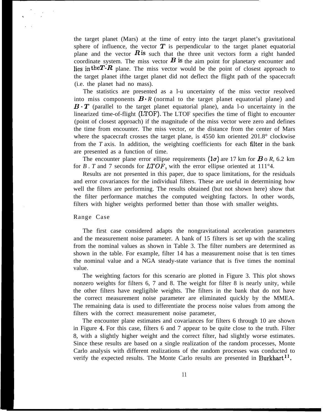the target planet (Mars) at the time of entry into the target planet's gravitational sphere of influence, the vector  $\boldsymbol{T}$  is perpendicular to the target planet equatorial plane and the vector  $\mathbf{R}$  is such that the three unit vectors form a right handed coordinate system. The miss vector  $\bf{B}$  is the aim point for planetary encounter and lies in the  $T-R$  plane. The miss vector would be the point of closest approach to the target planet ifthe target planet did not deflect the flight path of the spacecraft (i.e. the planet had no mass).

The statistics are presented as a l-u uncertainty of the miss vector resolved into miss components  $\mathbf{B} \cdot R$  (normal to the target planet equatorial plane) and  $\mathbf{B} \cdot \mathbf{T}$  (parallel to the target planet equatorial plane), anda 1-o uncertainty in the linearized time-of-flight (LTOF). The LTOF specifies the time of flight to encounter (point of closest approach) if the magnitude of the miss vector were zero and defines the time from encounter. The miss vector, or the distance from the center of Mars where the spacecraft crosses the target plane, is 4550 km oriented 201.8° clockwise from the  $T$  axis. In addition, the weighting coefficients for each filter in the bank are presented as a function of time.

The encounter plane error ellipse requirements  $(\mathbf{1}\sigma)$  are 17 km for  $\mathbf{B} \circ R$ , 6.2 km for  $B$ . T and 7 seconds for  $LTOF$ , with the error ellipse oriented at 111<sup>o</sup>4.

Results are not presented in this paper, due to space limitations, for the residuals and error covariances for the individual filters. These are useful in determining how well the filters are performing. The results obtained (but not shown here) show that the filter performance matches the computed weighting factors. In other words, filters with higher weights performed better than those with smaller weights.

#### Range Case

The first case considered adapts the nongravitational acceleration parameters and the measurement noise parameter. A bank of 15 filters is set up with the scaling from the nominal values as shown in Table 3. The filter numbers are determined as shown in the table. For example, filter 14 has a measurement noise that is ten times the nominal value and a NGA steady-state variance that is five times the nominal value.

The weighting factors for this scenario are plotted in Figure 3. This plot shows nonzero weights for filters 6, 7 and 8. The weight for filter 8 is nearly unity, while the other filters have negligible weights. The filters in the bank that do not have the correct measurement noise parameter are eliminated quickly by the MMEA. The remaining data is used to differentiate the process noise values from among the filters with the correct measurement noise parameter,

The encounter plane estimates and covariances for filters 6 through 10 are shown in Figure 4, For this case, filters 6 and 7 appear to be quite close to the truth. Filter 8, with a slightly higher weight and the correct filter, had slightly worse estimates. Since these results are based on a single realization of the random processes, Monte Carlo analysis with different realizations of the random processes was conducted to verify the expected results. The Monte Carlo results are presented in Burkhart<sup>11</sup>.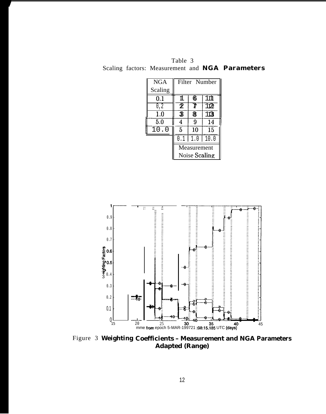Table 3 Scaling factors: Measurement and NGA Parameters

| <b>NGA</b> | Filter Number |                  |                   |  |
|------------|---------------|------------------|-------------------|--|
| Scaling    |               |                  |                   |  |
| 0.1        | ı             | 6                | 1111              |  |
| 0,2        | 2             | 7                | 112               |  |
| 1.0        | 3             | 8                | 113               |  |
| 5.0        | 4             | 9                | 14                |  |
| 10.0       | 5             | 10               | 15                |  |
|            | 0.1           | $\overline{1.0}$ | $\overline{10.0}$ |  |
|            | Measurement   |                  |                   |  |
|            | Noise Scaling |                  |                   |  |



Figure 3 Weighting Coefficients - Measurement and NGA Parameters **Adapted (Range)**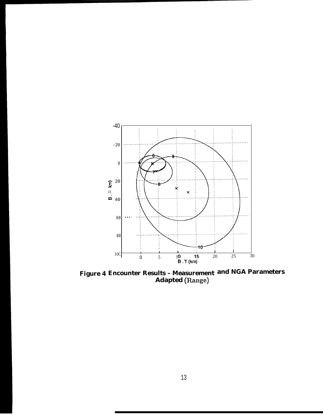

Figure 4 Encounter Results - Measurement and NGA Parameters<br>Adapted (Range)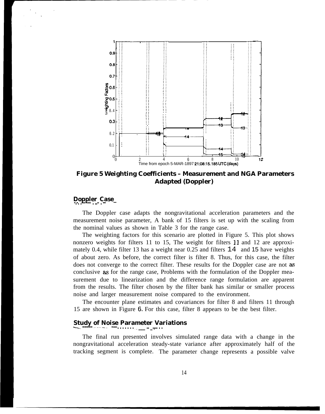

**Figure 5 Weighting Coefficients - Measurement and NGA Parameters Adapted (Doppler)** 

#### Doppler\_Case\_

The Doppler case adapts the nongravitational acceleration parameters and the measurement noise parameter, A bank of 15 filters is set up with the scaling from the nominal values as shown in Table 3 for the range case.

The weighting factors for this scenario are plotted in Figure 5. This plot shows nonzero weights for filters 11 to 15, The weight for filters 11 and 12 are approximately 0.4, while filter 13 has a weight near 0.25 and filters 14 and 15 have weights of about zero. As before, the correct filter is filter 8. Thus, for this case, the filter does not converge to the correct filter. These results for the Doppler case are not as conclusive as for the range case, Problems with the formulation of the Doppler measurement due to linearization and the difference range formulation are apparent from the results. The filter chosen by the filter bank has similar or smaller process noise and larger measurement noise compared to the environment.

The encounter plane estimates and covariances for filter 8 and filters 11 through 15 are shown in Figure 6. For this case, filter 8 appears to be the best filter.

#### **Study of Noise Parameter Variations**

The final run presented involves simulated range data with a change in the nongravitational acceleration steady-state variance after approximately half of the tracking segment is complete. The parameter change represents a possible valve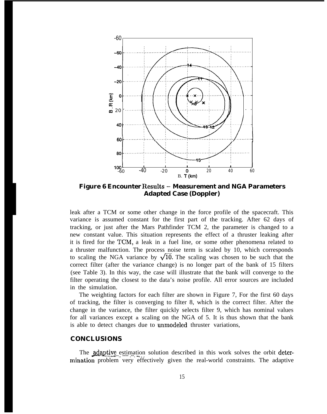

**Figure 6 Encounter Results– Measurement and NGA Parameters Adapted Case (Doppler)**

leak after a TCM or some other change in the force profile of the spacecraft. This variance is assumed constant for the first part of the tracking. After 62 days of tracking, or just after the Mars Pathfinder TCM 2, the parameter is changed to a new constant value. This situation represents the effect of a thruster leaking after it is fired for the TCM, a leak in a fuel line, or some other phenomena related to a thruster malfunction. The process noise term is scaled by 10, which corresponds to scaling the NGA variance by  $\sqrt{10}$ . The scaling was chosen to be such that the correct filter (after the variance change) is no longer part of the bank of 15 filters (see Table 3). In this way, the case will illustrate that the bank will converge to the filter operating the closest to the data's noise profile. All error sources are included in the simulation.

The weighting factors for each filter are shown in Figure 7, For the first 60 days of tracking, the filter is converging to filter 8, which is the correct filter. After the change in the variance, the filter quickly selects filter 9, which has nominal values for all variances except a scaling on the NGA of 5. It is thus shown that the bank is able to detect changes due to unmodeled thruster variations,

#### **CONCLUSIONS**

I

The adaptive estimation solution described in this work solves the orbit determination problem very effectively given the real-world constraints. The adaptive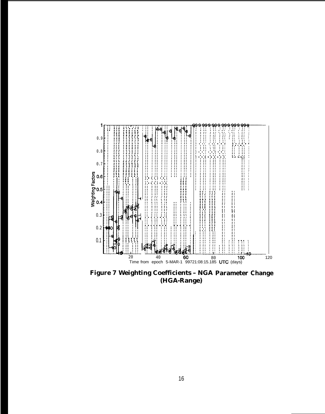

Figure 7 Weighting Coefficients - NGA Parameter Change<br>(HGA-Range)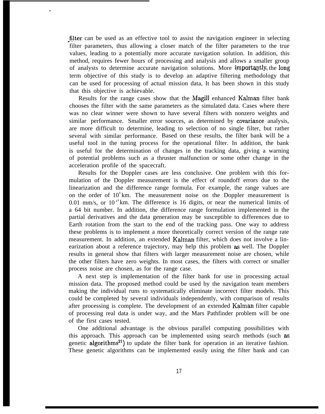filter can be used as an effective tool to assist the navigation engineer in selecting filter parameters, thus allowing a closer match of the filter parameters to the true values, leading to a potentially more accurate navigation solution. In addition, this method, requires fewer hours of processing and analysis and allows a smaller group of analysts to determine accurate navigation solutions. More importantly, the long term objective of this study is to develop an adaptive filtering methodology that can be used for processing of actual mission data, It has been shown in this study that this objective is achievable.

.

Results for the range cases show that the Magill enhanced Kalman filter bank chooses the filter with the same parameters as the simulated data. Cases where there was no clear winner were shown to have several filters with nonzero weights and similar performance. Smaller error sources, as determined by covariance analysis, are more difficult to determine, leading to selection of no single filter, but rather several with similar performance. Based on these results, the filter bank will be a useful tooI in the tuning process for the operational filter. In addition, the bank is useful for the determination of changes in the tracking data, giving a warning of potential problems such as a thruster malfunction or some other change in the acceleration profile of the spacecraft.

Results for the Doppler cases are less conclusive. One problem with this formulation of the Doppler measurement is the effect of roundoff errors due to the linearization and the difference range formula. For example, the range values are on the order of  $10^8$  km. The measurement noise on the Doppler measurement is 0.01 mm/s, or 10<sup>°</sup> km. The difference is 16 digits, or near the numerical limits of a 64 bit number. In addition, the difference range formulation implemented in the partial derivatives and the data generation may be susceptible to differences due to Earth rotation from the start to the end of the tracking pass. One way to address these problems is to implement a more theoretically correct version of the range rate measurement. In addition, an extended Kalman filter, which does not involve a linearization about a reference trajectory, may help this problem as well. The Doppler results in general show that filters with larger measurement noise are chosen, while the other filters have zero weights. In most cases, the filters with correct or smaller process noise are chosen, as for the range case.

A next step is implementation of the filter bank for use in processing actual mission data. The proposed method could be used by the navigation team members making the individual runs to systematically eliminate incorrect filter models. This could be completed by several individuals independently, with comparison of results after processing is complete. The development of an extended Kalman filter capable of processing real data is under way, and the Mars Pathfinder problem will be one of the first cases tested.

One additional advantage is the obvious parallel computing possibilities with this approach. This approach can be implemented using search methods (such as genetic algorithms<sup>21</sup>) to update the filter bank for operation in an iterative fashion. These genetic algorithms can be implemented easily using the filter bank and can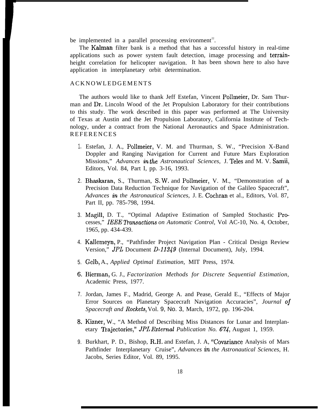be implemented in a parallel processing environment<sup>22</sup>.

The Kalman filter bank is a method that has a successful history in real-time applications such as power system fault detection, image processing and terrainheight correlation for helicopter navigation. It has been shown here to also have application in interplanetary orbit determination.

#### ACKNOWLEDGEMENTS

The authors would like to thank Jeff Estefan, Vincent Pollmeier, Dr. Sam Thurman and Dr. Lincoln Wood of the Jet Propulsion Laboratory for their contributions to this study. The work described in this paper was performed at The University of Texas at Austin and the Jet Propulsion Laboratory, California Institute of Technology, under a contract from the National Aeronautics and Space Administration. REFERENCES

- 1. Estefan, J. A., Pollmeier, V. M. and Thurman, S. W., "Precision X-Band Doppler and Ranging Navigation for Current and Future Mars Exploration Missions," *Advances in the Astronautical Sciences,* J. Teles and M. V. Samii, Editors, Vol. 84, Part I, pp. 3-16, 1993.
- 2. Bhaskaran, S., Thurman, S, W, and Pollmeier, V. M., "Demonstration of a Precision Data Reduction Technique for Navigation of the Galileo Spacecraft", *Advances in the Astronautical Sciences,* J. E. Cochran et al., Editors, Vol. 87, Part II, pp. 785-798, 1994.
- 3. Magill, D. T., "Optimal Adaptive Estimation of Sampled Stochastic Pro cesses," *IEEE fiansactions on Automatic Control,* Vol AC-10, No. 4, October, 1965, pp. 434-439.
- 4. Kallemeyn, P., "Pathfinder Project Navigation Plan Critical Design Review Version," JPL Document D-11349 (Internal Document), July, 1994.
- 5. Gelb, A., *Applied Optimal Estimation,* MIT Press, 1974.
- 6. Bierman, G. J., *Factorization Methods for Discrete Sequential Estimation,* Academic Press, 1977.
- 7. Jordan, James F., Madrid, George A. and Pease, Gerald E., "Effects of Major Error Sources on Planetary Spacecraft Navigation Accuracies", *Journal of Spacecraft and llocketi,* Vol. 9, No. 3, March, 1972, pp. 196-204.
- 8. Kizner, W., "A Method of Describing Miss Distances for Lunar and Interplanetary Trajectories," JPL External Publication No. 674, August 1, 1959.
- 9. Burkhart, P. D., Bishop, R.H, and Estefan, J. A, "Covariance Analysis of Mars Pathfinder Interplanetary Cruise", *Advances in the Astronautical Sciences,* H. Jacobs, Series Editor, Vol. 89, 1995.